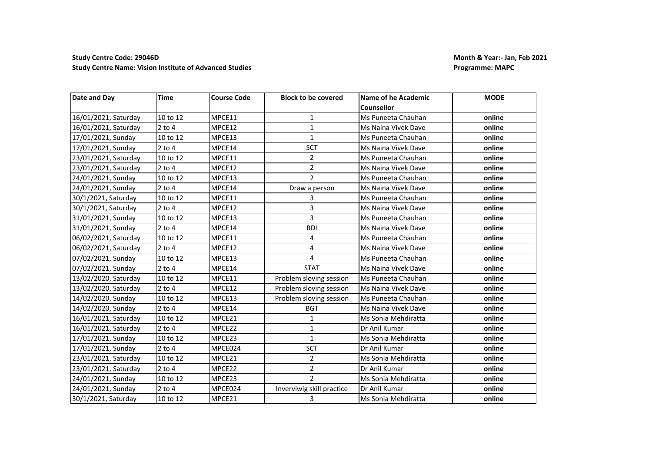## **Study Centre Code: 29046D Month & Year:- Jan, Feb 2021 Study Centre Name: Vision Institute of Advanced Studies Programme: MAPC Programme: MAPC**

| Date and Day         | <b>Time</b> | <b>Course Code</b> | <b>Block to be covered</b> | <b>Name of he Academic</b> | <b>MODE</b> |
|----------------------|-------------|--------------------|----------------------------|----------------------------|-------------|
|                      |             |                    |                            | Counsellor                 |             |
| 16/01/2021, Saturday | 10 to 12    | MPCE11             | $\mathbf{1}$               | Ms Puneeta Chauhan         | online      |
| 16/01/2021, Saturday | $2$ to $4$  | MPCE12             | $\mathbf{1}$               | Ms Naina Vivek Dave        | online      |
| 17/01/2021, Sunday   | 10 to 12    | MPCE13             | $\mathbf{1}$               | Ms Puneeta Chauhan         | online      |
| 17/01/2021, Sunday   | $2$ to 4    | MPCE14             | <b>SCT</b>                 | Ms Naina Vivek Dave        | online      |
| 23/01/2021, Saturday | 10 to 12    | MPCE11             | $\overline{2}$             | Ms Puneeta Chauhan         | online      |
| 23/01/2021, Saturday | $2$ to $4$  | MPCE12             | $\overline{2}$             | Ms Naina Vivek Dave        | online      |
| 24/01/2021, Sunday   | 10 to 12    | MPCE13             | $\overline{2}$             | Ms Puneeta Chauhan         | online      |
| 24/01/2021, Sunday   | $2$ to $4$  | MPCE14             | Draw a person              | Ms Naina Vivek Dave        | online      |
| 30/1/2021, Saturday  | 10 to 12    | MPCE11             | 3                          | Ms Puneeta Chauhan         | online      |
| 30/1/2021, Saturday  | $2$ to $4$  | MPCE12             | 3                          | Ms Naina Vivek Dave        | online      |
| 31/01/2021, Sunday   | 10 to 12    | MPCE13             | 3                          | Ms Puneeta Chauhan         | online      |
| 31/01/2021, Sunday   | $2$ to $4$  | MPCE14             | <b>BDI</b>                 | Ms Naina Vivek Dave        | online      |
| 06/02/2021, Saturday | 10 to 12    | MPCE11             | 4                          | Ms Puneeta Chauhan         | online      |
| 06/02/2021, Saturday | $2$ to $4$  | MPCE12             | 4                          | Ms Naina Vivek Dave        | online      |
| 07/02/2021, Sunday   | 10 to 12    | MPCE13             | 4                          | Ms Puneeta Chauhan         | online      |
| 07/02/2021, Sunday   | $2$ to $4$  | MPCE14             | <b>STAT</b>                | Ms Naina Vivek Dave        | online      |
| 13/02/2020, Saturday | 10 to 12    | MPCE11             | Problem sloving session    | Ms Puneeta Chauhan         | online      |
| 13/02/2020, Saturday | $2$ to $4$  | MPCE12             | Problem sloving session    | Ms Naina Vivek Dave        | online      |
| 14/02/2020, Sunday   | 10 to 12    | MPCE13             | Problem sloving session    | Ms Puneeta Chauhan         | online      |
| 14/02/2020, Sunday   | $2$ to 4    | MPCE14             | <b>BGT</b>                 | Ms Naina Vivek Dave        | online      |
| 16/01/2021, Saturday | 10 to 12    | MPCE21             | $\mathbf 1$                | Ms Sonia Mehdiratta        | online      |
| 16/01/2021, Saturday | $2$ to $4$  | MPCE22             | 1                          | Dr Anil Kumar              | online      |
| 17/01/2021, Sunday   | 10 to 12    | MPCE23             | $\mathbf{1}$               | Ms Sonia Mehdiratta        | online      |
| 17/01/2021, Sunday   | $2$ to $4$  | MPCE024            | <b>SCT</b>                 | Dr Anil Kumar              | online      |
| 23/01/2021, Saturday | 10 to 12    | MPCE21             | $\overline{2}$             | Ms Sonia Mehdiratta        | online      |
| 23/01/2021, Saturday | $2$ to $4$  | MPCE22             | $\overline{2}$             | Dr Anil Kumar              | online      |
| 24/01/2021, Sunday   | 10 to 12    | MPCE23             | $\overline{2}$             | Ms Sonia Mehdiratta        | online      |
| 24/01/2021, Sunday   | $2$ to $4$  | MPCE024            | Inverviwig skill practice  | Dr Anil Kumar              | online      |
| 30/1/2021, Saturday  | 10 to 12    | MPCE21             | 3                          | Ms Sonia Mehdiratta        | online      |